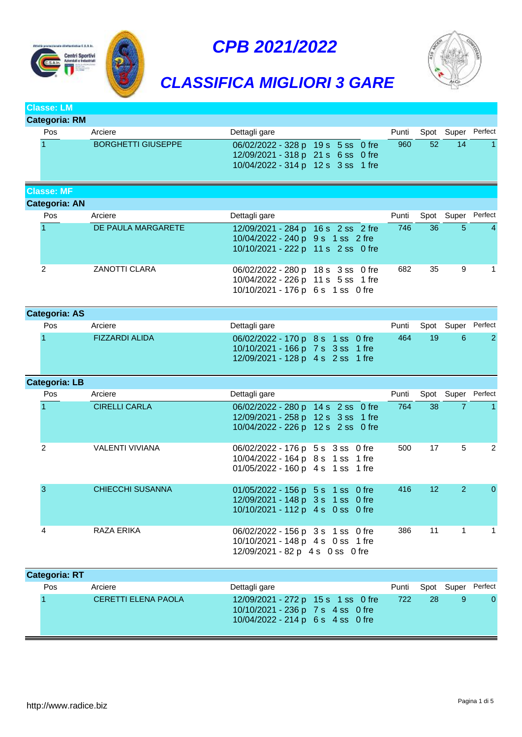







### **Classe: LM**

| Categoria: RM |                           |                                                                                                                |  |       |    |                    |  |
|---------------|---------------------------|----------------------------------------------------------------------------------------------------------------|--|-------|----|--------------------|--|
| Pos           | Arciere                   | Dettagli gare                                                                                                  |  | Punti |    | Spot Super Perfect |  |
|               | <b>BORGHETTI GIUSEPPE</b> | 06/02/2022 - 328 p 19 s 5 ss 0 fre<br>12/09/2021 - 318 p 21 s 6 ss 0 fre<br>10/04/2022 - 314 p 12 s 3 ss 1 fre |  | 960   | 52 | 14                 |  |

## **Classe: MF Categoria: AN** Pos Arciere **Punti Arciere** Dettagli gare **Dettagli gare** Punti Spot Super Perfect 1 DE PAULA MARGARETE 12/09/2021 - 284 p 16 s 2 ss 2 fre 746 36 5 4 10/04/2022 - 240 p 9 s 1 ss 2 fre 10/10/2021 - 222 p 11 s 2 ss 0 fre 2 ZANOTTI CLARA 06/02/2022 - 280 p 18 s 3 ss 0 fre 682 35 9 1 10/04/2022 - 226 p 11 s 5 ss 1 fre 10/10/2021 - 176 p 6 s 1 ss 0 fre

| <b>Categoria: AS</b> |                       |                                                                                                             |  |       |    |                    |    |
|----------------------|-----------------------|-------------------------------------------------------------------------------------------------------------|--|-------|----|--------------------|----|
| <b>Pos</b>           | Arciere               | Dettagli gare                                                                                               |  | Punti |    | Spot Super Perfect |    |
|                      | <b>FIZZARDI ALIDA</b> | 06/02/2022 - 170 p 8 s 1 ss 0 fre<br>10/10/2021 - 166 p 7 s 3 ss 1 fre<br>12/09/2021 - 128 p 4 s 2 ss 1 fre |  | 464   | 19 | 6                  | -2 |

## **Categoria: LB** Pos Arciere **Punti Arciere** Perfect **Dettagli gare Punti Spot Super Perfect** 1 CIRELLI CARLA 06/02/2022 - 280 p 14 s 2 ss 0 fre 764 38 7 1 12/09/2021 - 258 p 12 s 3 ss 1 fre 10/04/2022 - 226 p 12 s 2 ss 0 fre 2 VALENTI VIVIANA 06/02/2022 - 176 p 5 s 3 ss 0 fre 500 17 5 2 10/04/2022 - 164 p 8 s 1 ss 1 fre 01/05/2022 - 160 p 4 s 1 ss 1 fre 3 CHIECCHI SUSANNA 01/05/2022 - 156 p 5 s 1 ss 0 fre 416 12 2 0 12/09/2021 - 148 p 3 s 1 ss 0 fre 10/10/2021 - 112 p 4 s 0 ss 0 fre 4 RAZA ERIKA 06/02/2022 - 156 p 3 s 1 ss 0 fre 386 11 1 1 10/10/2021 - 148 p 4 s 0 ss 1 fre

| 12/09/2021 - 82 p 4 s 0 ss 0 fre |  |  |  |
|----------------------------------|--|--|--|
|                                  |  |  |  |

| <b>Categoria: RT</b> |                     |                                                                                                              |       |     |            |          |
|----------------------|---------------------|--------------------------------------------------------------------------------------------------------------|-------|-----|------------|----------|
| Pos                  | Arciere             | Dettagli gare                                                                                                | Punti |     | Spot Super | Perfect  |
|                      | CERETTI ELENA PAOLA | 12/09/2021 - 272 p 15 s 1 ss 0 fre<br>10/10/2021 - 236 p 7 s 4 ss 0 fre<br>10/04/2022 - 214 p 6 s 4 ss 0 fre | 722   | -28 |            | $\Omega$ |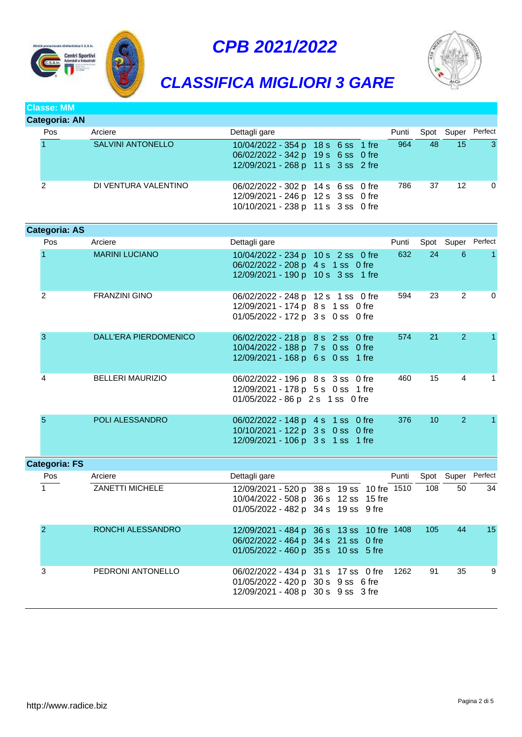





## *CLASSIFICA MIGLIORI 3 GARE*

## **Classe: MM**

| Categoria: AN |                          |                                                                                                                |  |       |    |            |          |
|---------------|--------------------------|----------------------------------------------------------------------------------------------------------------|--|-------|----|------------|----------|
| Pos           | Arciere                  | Dettagli gare                                                                                                  |  | Punti |    | Spot Super | Perfect  |
|               | <b>SALVINI ANTONELLO</b> | 10/04/2022 - 354 p 18 s 6 ss 1 fre<br>06/02/2022 - 342 p 19 s 6 ss 0 fre<br>12/09/2021 - 268 p 11 s 3 ss 2 fre |  | 964   | 48 | 15         | -3       |
| っ             | DI VENTURA VALENTINO     | 06/02/2022 - 302 p 14 s 6 ss 0 fre<br>12/09/2021 - 246 p 12 s 3 ss 0 fre<br>10/10/2021 - 238 p 11 s 3 ss 0 fre |  | 786   | 37 | -12        | $\Omega$ |

| <b>Categoria: AS</b> |                         |                                                                                                                          |       |     |                    |              |
|----------------------|-------------------------|--------------------------------------------------------------------------------------------------------------------------|-------|-----|--------------------|--------------|
| Pos                  | Arciere                 | Dettagli gare                                                                                                            | Punti |     | Spot Super Perfect |              |
|                      | <b>MARINI LUCIANO</b>   | 10/04/2022 - 234 p 10 s 2 ss 0 fre<br>06/02/2022 - 208 p 4 s 1 ss 0 fre<br>12/09/2021 - 190 p 10 s 3 ss 1 fre            | 632   | 24  | $6^{\circ}$        | $\mathbf{1}$ |
| 2                    | <b>FRANZINI GINO</b>    | 06/02/2022 - 248 p 12 s 1 ss 0 fre<br>12/09/2021 - 174 p 8 s 1 ss 0 fre<br>01/05/2022 - 172 p 3 s 0 ss 0 fre             | 594   | 23  | $\overline{2}$     | 0            |
| 3                    | DALL'ERA PIERDOMENICO   | 06/02/2022 - 218 p 8 s 2 ss 0 fre<br>10/04/2022 - 188 p 7 s 0 ss 0 fre<br>12/09/2021 - 168 p 6 s 0 ss 1 fre              | 574   | 21  | 2                  | 1.           |
| 4                    | <b>BELLERI MAURIZIO</b> | 06/02/2022 - 196 p 8 s 3 ss 0 fre<br>12/09/2021 - 178 p 5 s 0 ss 1 fre<br>01/05/2022 - 86 p 2 s 1 ss 0 fre               | 460   | 15  | 4                  | 1            |
| 5                    | POLI ALESSANDRO         | 06/02/2022 - 148 p 4 s 1 ss 0 fre<br>10/10/2021 - 122 p 3 s 0 ss 0 fre<br>12/09/2021 - 106 p 3 s 1 ss 1 fre              | 376   | 10  | 2                  | 1.           |
| <b>Categoria: FS</b> |                         |                                                                                                                          |       |     |                    |              |
| Pos                  | Arciere                 | Dettagli gare                                                                                                            | Punti |     | Spot Super Perfect |              |
| $\mathbf{1}$         | <b>ZANETTI MICHELE</b>  | 12/09/2021 - 520 p 38 s 19 ss 10 fre 1510<br>10/04/2022 - 508 p 36 s 12 ss 15 fre<br>01/05/2022 - 482 p 34 s 19 ss 9 fre |       | 108 | 50                 | 34           |
| 2                    | RONCHI ALESSANDRO       | 12/09/2021 - 484 p 36 s 13 ss 10 fre 1408<br>06/02/2022 - 464 p 34 s 21 ss 0 fre<br>01/05/2022 - 460 p 35 s 10 ss 5 fre  |       | 105 | 44                 | 15           |
| 3                    | PEDRONI ANTONELLO       | 06/02/2022 - 434 p 31 s 17 ss 0 fre<br>01/05/2022 - 420 p 30 s 9 ss 6 fre<br>12/09/2021 - 408 p 30 s 9 ss 3 fre          | 1262  | 91  | 35                 | 9            |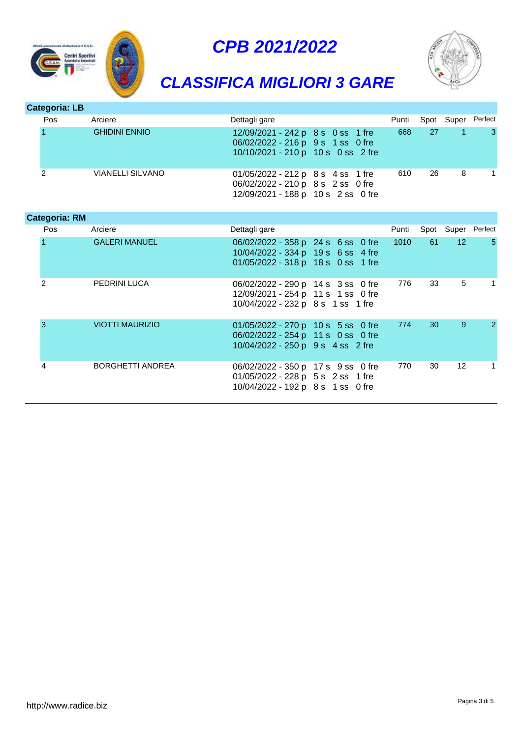



# *CLASSIFICA MIGLIORI 3 GARE*

| Categoria: LB |                         |                                                                                                              |       |    |            |         |
|---------------|-------------------------|--------------------------------------------------------------------------------------------------------------|-------|----|------------|---------|
| <b>Pos</b>    | Arciere                 | Dettagli gare                                                                                                | Punti |    | Spot Super | Perfect |
|               | <b>GHIDINI ENNIO</b>    | 12/09/2021 - 242 p 8 s 0 ss 1 fre<br>06/02/2022 - 216 p 9 s 1 ss 0 fre<br>10/10/2021 - 210 p 10 s 0 ss 2 fre | 668   | 27 |            | -3      |
| 2             | <b>VIANELLI SILVANO</b> | 01/05/2022 - 212 p 8 s 4 ss 1 fre<br>06/02/2022 - 210 p 8 s 2 ss 0 fre<br>12/09/2021 - 188 p 10 s 2 ss 0 fre | 610   | 26 | 8          |         |

| <b>Categoria: RM</b> |                        |                                                                                                                |       |             |                 |                    |
|----------------------|------------------------|----------------------------------------------------------------------------------------------------------------|-------|-------------|-----------------|--------------------|
| Pos                  | Arciere                | Dettagli gare                                                                                                  | Punti |             |                 | Spot Super Perfect |
|                      | <b>GALERI MANUEL</b>   | 06/02/2022 - 358 p 24 s 6 ss 0 fre<br>10/04/2022 - 334 p 19 s 6 ss 4 fre<br>01/05/2022 - 318 p 18 s 0 ss 1 fre | 1010  | 61 <b>C</b> | 12 <sup>°</sup> | -5                 |
| 2                    | PEDRINI LUCA           | 06/02/2022 - 290 p 14 s 3 ss 0 fre<br>12/09/2021 - 254 p 11 s 1 ss 0 fre<br>10/04/2022 - 232 p 8 s 1 ss 1 fre  | 776   | 33          | 5               | 1                  |
| 3                    | <b>VIOTTI MAURIZIO</b> | 01/05/2022 - 270 p 10 s 5 ss 0 fre<br>06/02/2022 - 254 p 11 s 0 ss 0 fre<br>10/04/2022 - 250 p 9 s 4 ss 2 fre  | 774   | 30          | 9               | $\mathcal{P}$      |
| 4                    | BORGHETTI ANDREA       | 06/02/2022 - 350 p 17 s 9 ss 0 fre<br>01/05/2022 - 228 p 5 s 2 ss 1 fre<br>10/04/2022 - 192 p 8 s 1 ss 0 fre   | 770   | 30          | $12 \,$         | 1                  |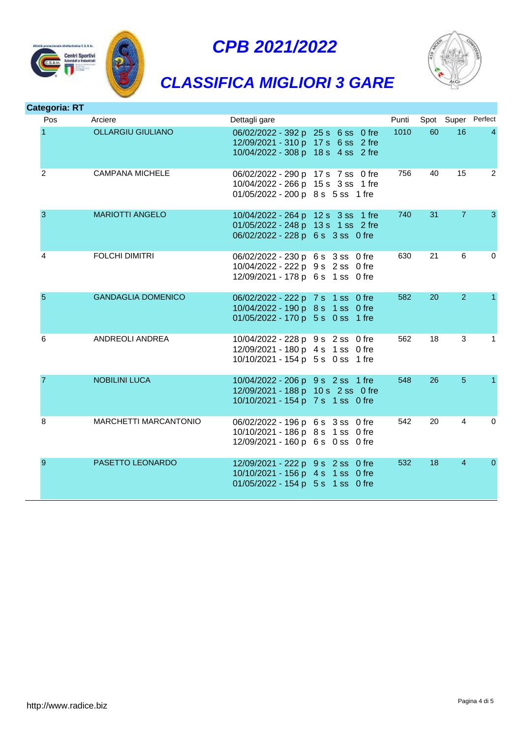



# *CLASSIFICA MIGLIORI 3 GARE*



| <b>Categoria: RT</b> |                              |                                                                                                                |       |    |                |                    |
|----------------------|------------------------------|----------------------------------------------------------------------------------------------------------------|-------|----|----------------|--------------------|
| Pos                  | Arciere                      | Dettagli gare                                                                                                  | Punti |    |                | Spot Super Perfect |
| 1                    | <b>OLLARGIU GIULIANO</b>     | 06/02/2022 - 392 p 25 s 6 ss 0 fre<br>12/09/2021 - 310 p 17 s 6 ss 2 fre<br>10/04/2022 - 308 p 18 s 4 ss 2 fre | 1010  | 60 | 16             | $\overline{4}$     |
| 2                    | <b>CAMPANA MICHELE</b>       | 06/02/2022 - 290 p 17 s 7 ss 0 fre<br>10/04/2022 - 266 p 15 s 3 ss 1 fre<br>01/05/2022 - 200 p 8 s 5 ss 1 fre  | 756   | 40 | 15             | $\overline{2}$     |
| 3                    | <b>MARIOTTI ANGELO</b>       | 10/04/2022 - 264 p 12 s 3 ss 1 fre<br>01/05/2022 - 248 p 13 s 1 ss 2 fre<br>06/02/2022 - 228 p 6 s 3 ss 0 fre  | 740   | 31 | $\overline{7}$ | 3                  |
| 4                    | <b>FOLCHI DIMITRI</b>        | 06/02/2022 - 230 p 6 s 3 ss 0 fre<br>10/04/2022 - 222 p 9 s 2 ss 0 fre<br>12/09/2021 - 178 p 6 s 1 ss 0 fre    | 630   | 21 | 6              | $\Omega$           |
| $\overline{5}$       | <b>GANDAGLIA DOMENICO</b>    | 06/02/2022 - 222 p 7 s 1 ss 0 fre<br>10/04/2022 - 190 p 8 s 1 ss 0 fre<br>01/05/2022 - 170 p 5 s 0 ss 1 fre    | 582   | 20 | $\overline{2}$ | $\mathbf{1}$       |
| 6                    | ANDREOLI ANDREA              | 10/04/2022 - 228 p 9 s 2 ss 0 fre<br>12/09/2021 - 180 p 4 s 1 ss 0 fre<br>10/10/2021 - 154 p 5 s 0 ss 1 fre    | 562   | 18 | 3              | 1                  |
| 7                    | <b>NOBILINI LUCA</b>         | 10/04/2022 - 206 p 9 s 2 ss 1 fre<br>12/09/2021 - 188 p 10 s 2 ss 0 fre<br>10/10/2021 - 154 p 7 s 1 ss 0 fre   | 548   | 26 | $5\phantom{1}$ | 1.                 |
| 8                    | <b>MARCHETTI MARCANTONIO</b> | 06/02/2022 - 196 p 6 s 3 ss 0 fre<br>10/10/2021 - 186 p 8 s 1 ss 0 fre<br>12/09/2021 - 160 p 6 s 0 ss 0 fre    | 542   | 20 | $\overline{4}$ | 0                  |
| 9                    | PASETTO LEONARDO             | 12/09/2021 - 222 p 9 s 2 ss 0 fre<br>10/10/2021 - 156 p 4 s 1 ss 0 fre<br>01/05/2022 - 154 p 5 s 1 ss 0 fre    | 532   | 18 | $\overline{4}$ | $\mathbf{0}$       |